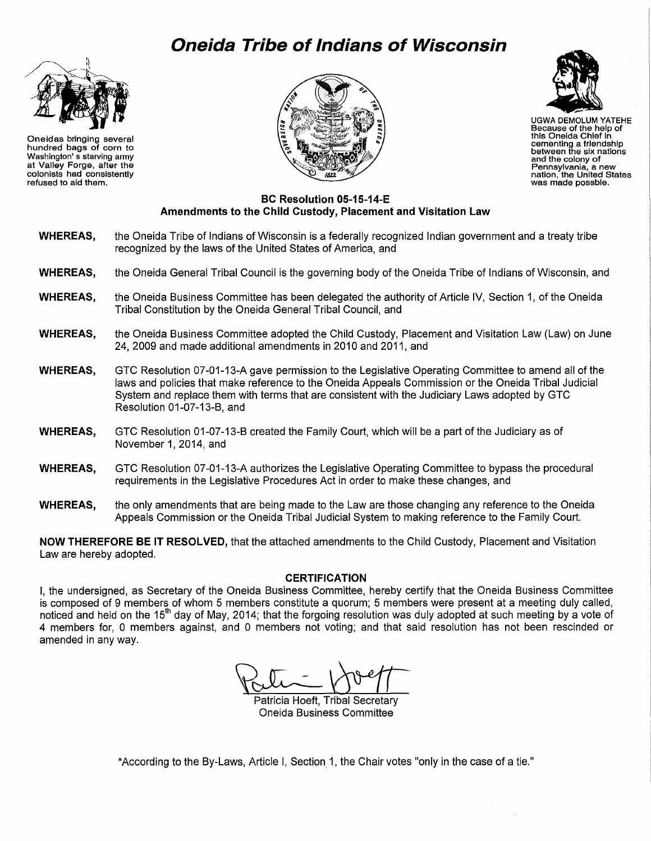# **Oneida Tribe of Indians of Wisconsin**



Oneidas bringing several hundred bags of corn to Washington' s starving army at Valley Forge, after the colonists had consistently refused to aid them.





UGWA DEMOLUM YATEHE Because of the help of this Oneida Chief In cementing a friendship between the six nations and the colony of<br>Pennsylvania, a new nation, the United States<br>was made possble.

#### **BC Resolution 05-15-14-E Amendments to the Child Custody, Placement and Visitation Law**

- **WHEREAS,** the Oneida Tribe of Indians of Wisconsin is a federally recognized Indian government and a treaty tribe recognized by the laws of the United States of America, and
- **WHEREAS,** the Oneida General Tribal Council is the governing body of the Oneida Tribe of Indians of Wisconsin, and
- **WHEREAS,** the Oneida Business Committee has been delegated the authority of Article IV, Section 1, of the Oneida Tribal Constitution by the Oneida General Tribal Council, and
- **WHEREAS,** the Oneida Business Committee adopted the Child Custody, Placement and Visitation Law (Law) on June 24, 2009 and made additional amendments in 2010 and 2011, and
- **WHEREAS,** GTC Resolution 07-01-13-A gave permission to the Legislative Operating Committee to amend all of the laws and policies that make reference to the Oneida Appeals Commission or the Oneida Tribal Judicial System and replace them with terms that are consistent with the Judiciary Laws adopted by GTC Resolution 01-07-13-B, and
- **WHEREAS,** GTC Resolution 01-07-13-B created the Family Court, which will be a part of the Judiciary as of November 1, 2014, and
- **WHEREAS,** GTC Resolution 07-01-13-A authorizes the Legislative Operating Committee to bypass the procedural requirements in the Legislative Procedures Act in order to make these changes, and
- **WHEREAS,** the only amendments that are being made to the Law are those changing any reference to the Oneida Appeals Commission or the Oneida Tribal Judicial System to making reference to the Family Court.

**NOW THEREFORE BE IT RESOLVED,** that the attached amendments to the Child Custody, Placement and Visitation Law are hereby adopted.

#### **CERTIFICATION**

I, the undersigned, as Secretary of the Oneida Business Committee, hereby certify that the Oneida Business Committee is composed of 9 members of whom 5 members constitute a quorum; 5 members were present at a meeting duly called, noticed and held on the 15<sup>th</sup> day of May, 2014; that the forgoing resolution was duly adopted at such meeting by a vote of 4 members for, 0 members against, and 0 members not voting; and that said resolution has not been rescinded or amended in any way.

Patricia Hoeft, Tribal Secretary Oneida Business Committee

\*According to the By-Laws, Article I, Section 1, the Chair votes "only in the case of a tie."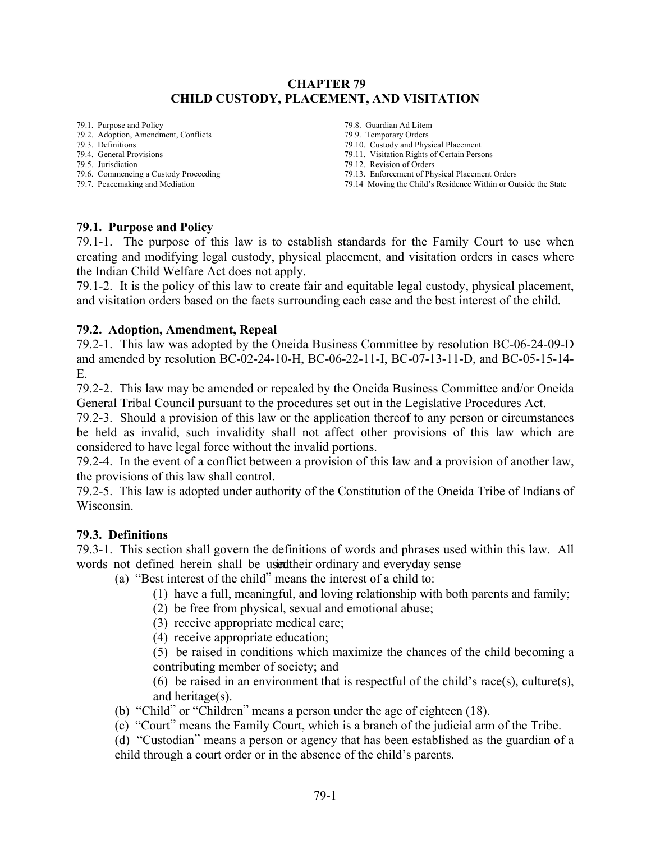## **CHAPTER 79 CHILD CUSTODY, PLACEMENT, AND VISITATION**

79.1. Purpose and Policy 79.2. Adoption, Amendment, Conflicts 79.3. Definitions

- 79.4. General Provisions
- 79.5. Jurisdiction
- 79.6. Commencing a Custody Proceeding
- 79.7. Peacemaking and Mediation

79.8. Guardian Ad Litem 79.9. Temporary Orders 79.10. Custody and Physical Placement 79.11. Visitation Rights of Certain Persons 79.12. Revision of Orders 79.13. Enforcement of Physical Placement Orders 79.14 Moving the Child's Residence Within or Outside the State

## **79.1. Purpose and Policy**

79.1-1. The purpose of this law is to establish standards for the Family Court to use when creating and modifying legal custody, physical placement, and visitation orders in cases where the Indian Child Welfare Act does not apply.

79.1-2. It is the policy of this law to create fair and equitable legal custody, physical placement, and visitation orders based on the facts surrounding each case and the best interest of the child.

## **79.2. Adoption, Amendment, Repeal**

79.2-1. This law was adopted by the Oneida Business Committee by resolution BC-06-24-09-D and amended by resolution BC-02-24-10-H, BC-06-22-11-I, BC-07-13-11-D, and BC-05-15-14- E.

79.2-2. This law may be amended or repealed by the Oneida Business Committee and/or Oneida General Tribal Council pursuant to the procedures set out in the Legislative Procedures Act.

79.2-3. Should a provision of this law or the application thereof to any person or circumstances be held as invalid, such invalidity shall not affect other provisions of this law which are considered to have legal force without the invalid portions.

79.2-4. In the event of a conflict between a provision of this law and a provision of another law, the provisions of this law shall control.

79.2-5. This law is adopted under authority of the Constitution of the Oneida Tribe of Indians of Wisconsin.

## **79.3. Definitions**

79.3-1. This section shall govern the definitions of words and phrases used within this law. All words not defined herein shall be used their ordinary and everyday sense

(a) "Best interest of the child" means the interest of a child to:

- (1) have a full, meaningful, and loving relationship with both parents and family;
- (2) be free from physical, sexual and emotional abuse;
- (3) receive appropriate medical care;
- (4) receive appropriate education;

(5) be raised in conditions which maximize the chances of the child becoming a contributing member of society; and

(6) be raised in an environment that is respectful of the child's race(s), culture(s), and heritage(s).

(b) "Child" or "Children" means a person under the age of eighteen (18).

(c) "Court" means the Family Court, which is a branch of the judicial arm of the Tribe.

(d) "Custodian" means a person or agency that has been established as the guardian of a child through a court order or in the absence of the child's parents.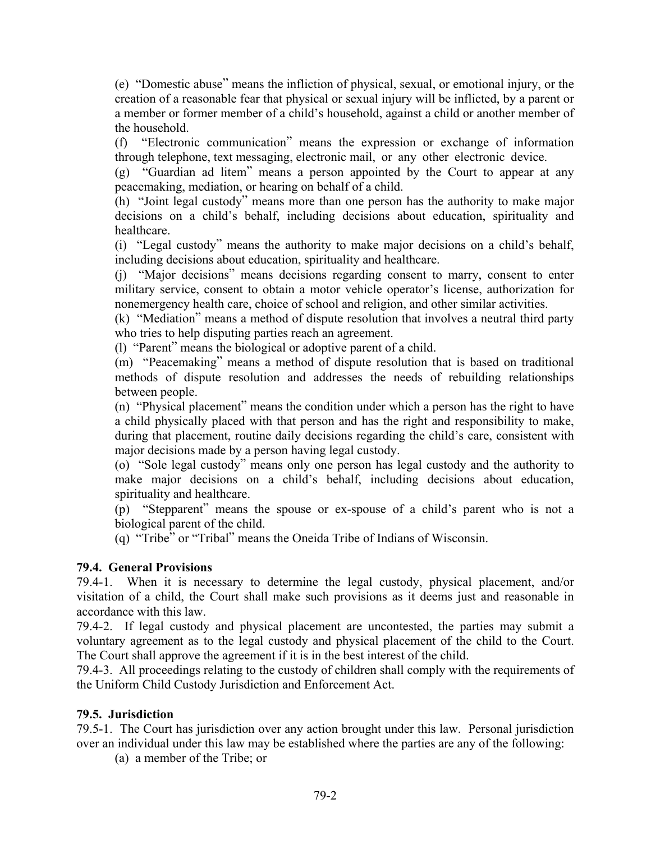(e) "Domestic abuse" means the infliction of physical, sexual, or emotional injury, or the creation of a reasonable fear that physical or sexual injury will be inflicted, by a parent or a member or former member of a child's household, against a child or another member of the household.

(f) "Electronic communication" means the expression or exchange of information through telephone, text messaging, electronic mail, or any other electronic device.

(g) "Guardian ad litem" means a person appointed by the Court to appear at any peacemaking, mediation, or hearing on behalf of a child.

(h) "Joint legal custody" means more than one person has the authority to make major decisions on a child's behalf, including decisions about education, spirituality and healthcare.

(i) "Legal custody" means the authority to make major decisions on a child's behalf, including decisions about education, spirituality and healthcare.

(j) "Major decisions" means decisions regarding consent to marry, consent to enter military service, consent to obtain a motor vehicle operator's license, authorization for nonemergency health care, choice of school and religion, and other similar activities.

(k) "Mediation" means a method of dispute resolution that involves a neutral third party who tries to help disputing parties reach an agreement.

(l) "Parent" means the biological or adoptive parent of a child.

(m) "Peacemaking" means a method of dispute resolution that is based on traditional methods of dispute resolution and addresses the needs of rebuilding relationships between people.

(n) "Physical placement" means the condition under which a person has the right to have a child physically placed with that person and has the right and responsibility to make, during that placement, routine daily decisions regarding the child's care, consistent with major decisions made by a person having legal custody.

(o) "Sole legal custody" means only one person has legal custody and the authority to make major decisions on a child's behalf, including decisions about education, spirituality and healthcare.

(p) "Stepparent" means the spouse or ex-spouse of a child's parent who is not a biological parent of the child.

(q) "Tribe" or "Tribal" means the Oneida Tribe of Indians of Wisconsin.

# **79.4. General Provisions**

79.4-1. When it is necessary to determine the legal custody, physical placement, and/or visitation of a child, the Court shall make such provisions as it deems just and reasonable in accordance with this law.

79.4-2. If legal custody and physical placement are uncontested, the parties may submit a voluntary agreement as to the legal custody and physical placement of the child to the Court. The Court shall approve the agreement if it is in the best interest of the child.

79.4-3. All proceedings relating to the custody of children shall comply with the requirements of the Uniform Child Custody Jurisdiction and Enforcement Act.

## **79.5. Jurisdiction**

79.5-1. The Court has jurisdiction over any action brought under this law. Personal jurisdiction over an individual under this law may be established where the parties are any of the following:

(a) a member of the Tribe; or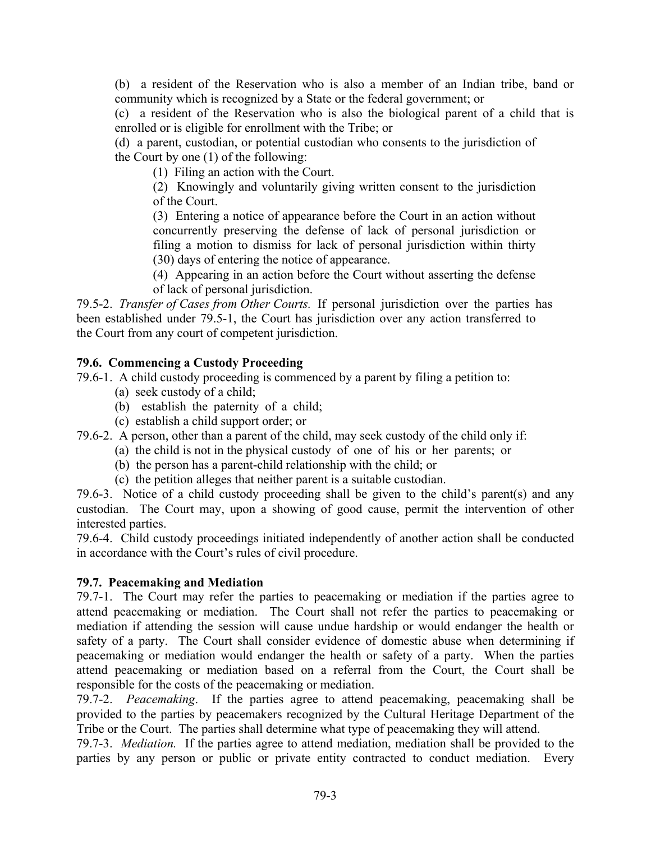(b) a resident of the Reservation who is also a member of an Indian tribe, band or community which is recognized by a State or the federal government; or

(c) a resident of the Reservation who is also the biological parent of a child that is enrolled or is eligible for enrollment with the Tribe; or

(d) a parent, custodian, or potential custodian who consents to the jurisdiction of the Court by one (1) of the following:

(1) Filing an action with the Court.

(2) Knowingly and voluntarily giving written consent to the jurisdiction of the Court.

(3) Entering a notice of appearance before the Court in an action without concurrently preserving the defense of lack of personal jurisdiction or filing a motion to dismiss for lack of personal jurisdiction within thirty (30) days of entering the notice of appearance.

(4) Appearing in an action before the Court without asserting the defense of lack of personal jurisdiction.

79.5-2.*Transfer of Cases from Other Courts.*If personal jurisdiction over the parties has been established under 79.5-1, the Court has jurisdiction over any action transferred to the Court from any court of competent jurisdiction.

# **79.6. Commencing a Custody Proceeding**

79.6-1. A child custody proceeding is commenced by a parent by filing a petition to:

- (a) seek custody of a child;
- (b) establish the paternity of a child;
- (c) establish a child support order; or

79.6-2. A person, other than a parent of the child, may seek custody of the child only if:

- (a) the child is not in the physical custody of one of his or her parents; or
- (b) the person has a parent-child relationship with the child; or
- (c) the petition alleges that neither parent is a suitable custodian.

79.6-3. Notice of a child custody proceeding shall be given to the child's parent(s) and any custodian. The Court may, upon a showing of good cause, permit the intervention of other interested parties.

79.6-4. Child custody proceedings initiated independently of another action shall be conducted in accordance with the Court's rules of civil procedure.

# **79.7. Peacemaking and Mediation**

79.7-1. The Court may refer the parties to peacemaking or mediation if the parties agree to attend peacemaking or mediation. The Court shall not refer the parties to peacemaking or mediation if attending the session will cause undue hardship or would endanger the health or safety of a party. The Court shall consider evidence of domestic abuse when determining if peacemaking or mediation would endanger the health or safety of a party. When the parties attend peacemaking or mediation based on a referral from the Court, the Court shall be responsible for the costs of the peacemaking or mediation.

79.7-2. *Peacemaking*. If the parties agree to attend peacemaking, peacemaking shall be provided to the parties by peacemakers recognized by the Cultural Heritage Department of the Tribe or the Court. The parties shall determine what type of peacemaking they will attend.

79.7-3. *Mediation.* If the parties agree to attend mediation, mediation shall be provided to the parties by any person or public or private entity contracted to conduct mediation. Every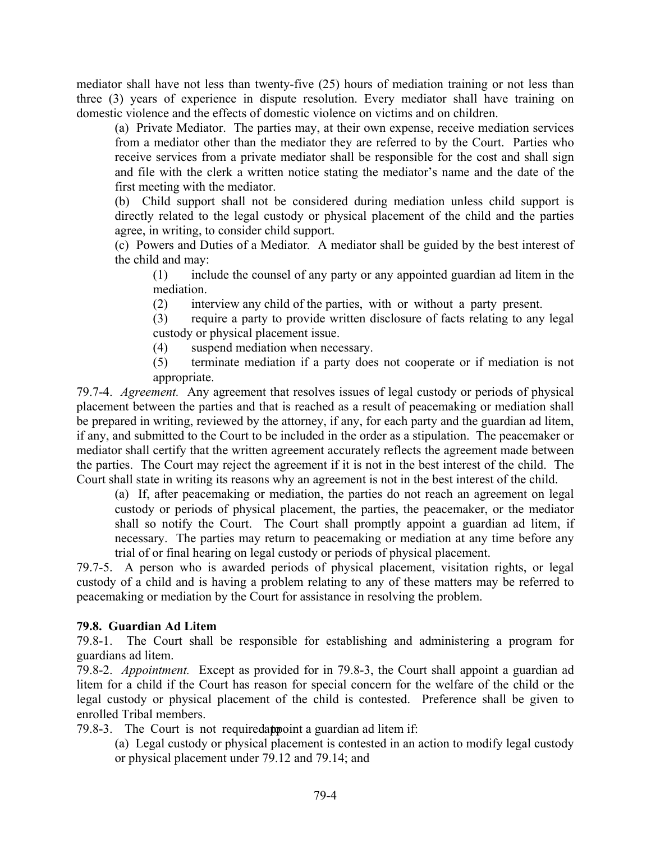mediator shall have not less than twenty-five (25) hours of mediation training or not less than three (3) years of experience in dispute resolution. Every mediator shall have training on domestic violence and the effects of domestic violence on victims and on children.

(a) Private Mediator. The parties may, at their own expense, receive mediation services from a mediator other than the mediator they are referred to by the Court. Parties who receive services from a private mediator shall be responsible for the cost and shall sign and file with the clerk a written notice stating the mediator's name and the date of the first meeting with the mediator.

(b) Child support shall not be considered during mediation unless child support is directly related to the legal custody or physical placement of the child and the parties agree, in writing, to consider child support.

(c) Powers and Duties of a Mediator*.* A mediator shall be guided by the best interest of the child and may:

(1) include the counsel of any party or any appointed guardian ad litem in the mediation.

(2) interview any child of the parties, with or without a party present.

(3) require a party to provide written disclosure of facts relating to any legal custody or physical placement issue.

(4) suspend mediation when necessary.

(5) terminate mediation if a party does not cooperate or if mediation is not appropriate.

79.7-4. *Agreement.* Any agreement that resolves issues of legal custody or periods of physical placement between the parties and that is reached as a result of peacemaking or mediation shall be prepared in writing, reviewed by the attorney, if any, for each party and the guardian ad litem, if any, and submitted to the Court to be included in the order as a stipulation. The peacemaker or mediator shall certify that the written agreement accurately reflects the agreement made between the parties. The Court may reject the agreement if it is not in the best interest of the child. The Court shall state in writing its reasons why an agreement is not in the best interest of the child.

(a) If, after peacemaking or mediation, the parties do not reach an agreement on legal custody or periods of physical placement, the parties, the peacemaker, or the mediator shall so notify the Court. The Court shall promptly appoint a guardian ad litem, if necessary. The parties may return to peacemaking or mediation at any time before any trial of or final hearing on legal custody or periods of physical placement.

79.7-5. A person who is awarded periods of physical placement, visitation rights, or legal custody of a child and is having a problem relating to any of these matters may be referred to peacemaking or mediation by the Court for assistance in resolving the problem.

## **79.8. Guardian Ad Litem**

79.8-1. The Court shall be responsible for establishing and administering a program for guardians ad litem.

79.8-2. *Appointment.* Except as provided for in 79.8-3, the Court shall appoint a guardian ad litem for a child if the Court has reason for special concern for the welfare of the child or the legal custody or physical placement of the child is contested. Preference shall be given to enrolled Tribal members.

79.8-3. The Court is not required appoint a guardian ad litem if:

(a) Legal custody or physical placement is contested in an action to modify legal custody or physical placement under 79.12 and 79.14; and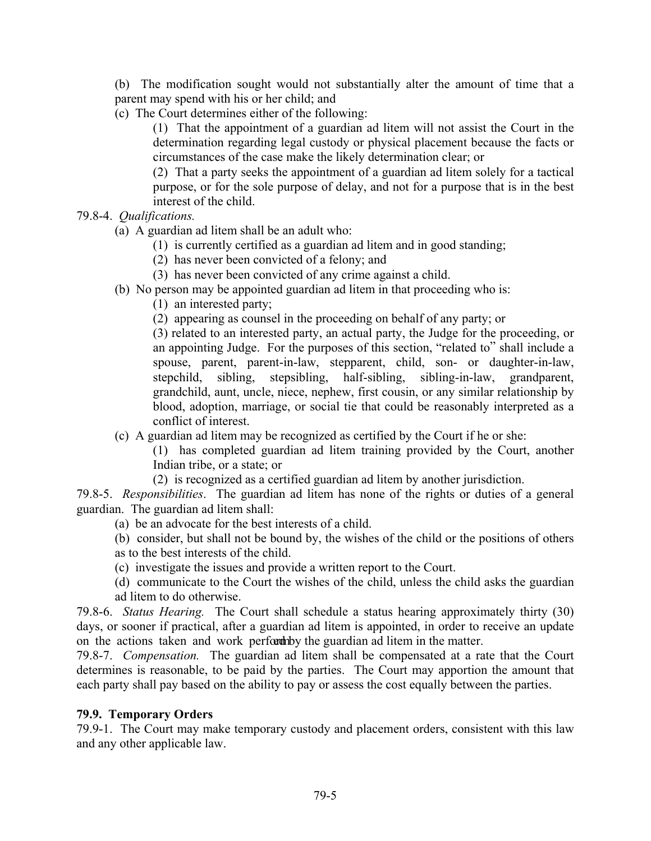(b) The modification sought would not substantially alter the amount of time that a parent may spend with his or her child; and

(c) The Court determines either of the following:

(1) That the appointment of a guardian ad litem will not assist the Court in the determination regarding legal custody or physical placement because the facts or circumstances of the case make the likely determination clear; or

(2) That a party seeks the appointment of a guardian ad litem solely for a tactical purpose, or for the sole purpose of delay, and not for a purpose that is in the best interest of the child.

- 79.8-4. *Qualifications.* 
	- (a)A guardian ad litem shall be an adult who:
		- (1) is currently certified as a guardian ad litem and in good standing;
		- (2) has never been convicted of a felony; and
		- (3) has never been convicted of any crime against a child.
	- (b) No person may be appointed guardian ad litem in that proceeding who is:
		- (1) an interested party;
		- (2) appearing as counsel in the proceeding on behalf of any party; or

(3) related to an interested party, an actual party, the Judge for the proceeding, or an appointing Judge. For the purposes of this section, "related to" shall include a spouse, parent, parent-in-law, stepparent, child, son- or daughter-in-law, stepchild, sibling, stepsibling, half-sibling, sibling-in-law, grandparent, grandchild, aunt, uncle, niece, nephew, first cousin, or any similar relationship by blood, adoption, marriage, or social tie that could be reasonably interpreted as a conflict of interest.

(c) A guardian ad litem may be recognized as certified by the Court if he or she:

(1) has completed guardian ad litem training provided by the Court, another Indian tribe, or a state; or

(2) is recognized as a certified guardian ad litem by another jurisdiction.

79.8-5. *Responsibilities*. The guardian ad litem has none of the rights or duties of a general guardian. The guardian ad litem shall:

- (a) be an advocate for the best interests of a child.
- (b) consider, but shall not be bound by, the wishes of the child or the positions of others as to the best interests of the child.
- (c) investigate the issues and provide a written report to the Court.
- (d) communicate to the Court the wishes of the child, unless the child asks the guardian ad litem to do otherwise.

79.8-6. *Status Hearing.* The Court shall schedule a status hearing approximately thirty (30) days, or sooner if practical, after a guardian ad litem is appointed, in order to receive an update on the actions taken and work performation ad litem in the matter.

79.8-7. *Compensation.* The guardian ad litem shall be compensated at a rate that the Court determines is reasonable, to be paid by the parties. The Court may apportion the amount that each party shall pay based on the ability to pay or assess the cost equally between the parties.

## **79.9. Temporary Orders**

79.9-1. The Court may make temporary custody and placement orders, consistent with this law and any other applicable law.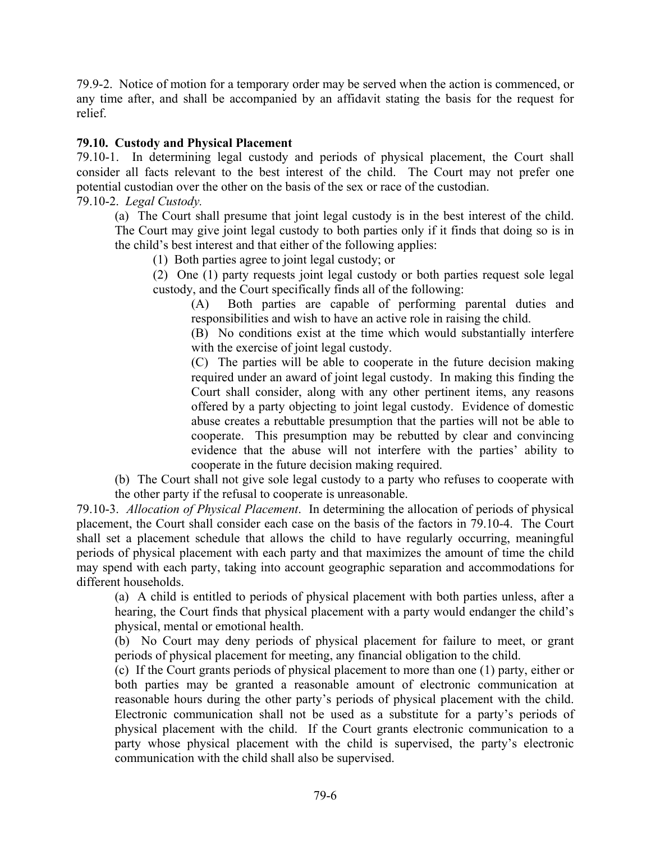79.9-2. Notice of motion for a temporary order may be served when the action is commenced, or any time after, and shall be accompanied by an affidavit stating the basis for the request for relief.

# **79.10. Custody and Physical Placement**

79.10-1. In determining legal custody and periods of physical placement, the Court shall consider all facts relevant to the best interest of the child. The Court may not prefer one potential custodian over the other on the basis of the sex or race of the custodian.

79.10-2. *Legal Custody.* 

(a) The Court shall presume that joint legal custody is in the best interest of the child. The Court may give joint legal custody to both parties only if it finds that doing so is in the child's best interest and that either of the following applies:

(1) Both parties agree to joint legal custody; or

(2) One (1) party requests joint legal custody or both parties request sole legal custody, and the Court specifically finds all of the following:

(A) Both parties are capable of performing parental duties and responsibilities and wish to have an active role in raising the child.

(B) No conditions exist at the time which would substantially interfere with the exercise of joint legal custody.

(C) The parties will be able to cooperate in the future decision making required under an award of joint legal custody. In making this finding the Court shall consider, along with any other pertinent items, any reasons offered by a party objecting to joint legal custody. Evidence of domestic abuse creates a rebuttable presumption that the parties will not be able to cooperate. This presumption may be rebutted by clear and convincing evidence that the abuse will not interfere with the parties' ability to cooperate in the future decision making required.

(b) The Court shall not give sole legal custody to a party who refuses to cooperate with the other party if the refusal to cooperate is unreasonable.

79.10-3. *Allocation of Physical Placement*. In determining the allocation of periods of physical placement, the Court shall consider each case on the basis of the factors in 79.10-4. The Court shall set a placement schedule that allows the child to have regularly occurring, meaningful periods of physical placement with each party and that maximizes the amount of time the child may spend with each party, taking into account geographic separation and accommodations for different households.

(a) A child is entitled to periods of physical placement with both parties unless, after a hearing, the Court finds that physical placement with a party would endanger the child's physical, mental or emotional health.

(b) No Court may deny periods of physical placement for failure to meet, or grant periods of physical placement for meeting, any financial obligation to the child.

(c) If the Court grants periods of physical placement to more than one (1) party, either or both parties may be granted a reasonable amount of electronic communication at reasonable hours during the other party's periods of physical placement with the child. Electronic communication shall not be used as a substitute for a party's periods of physical placement with the child. If the Court grants electronic communication to a party whose physical placement with the child is supervised, the party's electronic communication with the child shall also be supervised.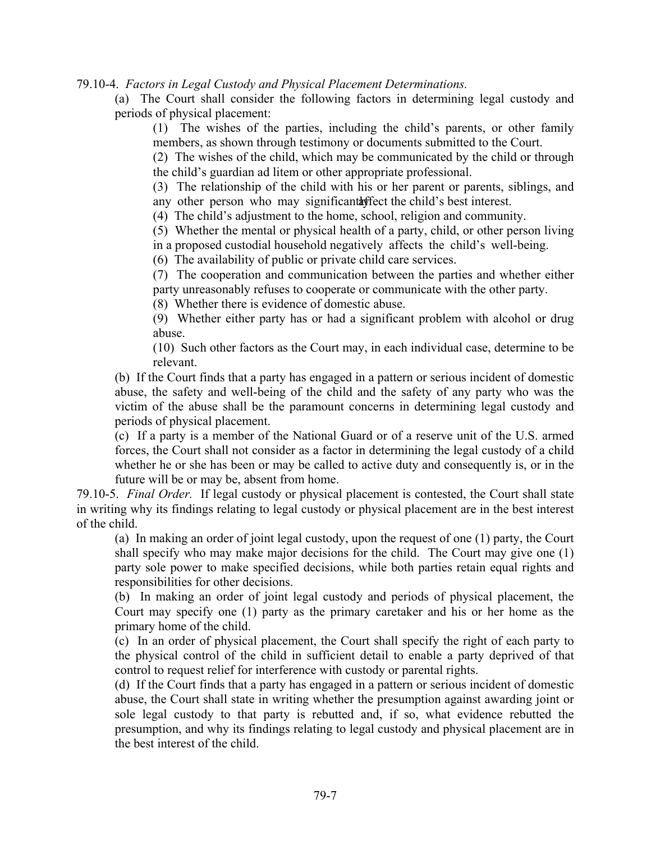79.10-4. *Factors in Legal Custody and Physical Placement Determinations.*

(a) The Court shall consider the following factors in determining legal custody and periods of physical placement:

(1) The wishes of the parties, including the child's parents, or other family members, as shown through testimony or documents submitted to the Court.

(2) The wishes of the child, which may be communicated by the child or through the child's guardian ad litem or other appropriate professional.

(3) The relationship of the child with his or her parent or parents, siblings, and any other person who may significant affect the child's best interest.

(4) The child's adjustment to the home, school, religion and community.

(5) Whether the mental or physical health of a party, child, or other person living in a proposed custodial household negatively affects the child's well-being.

(6) The availability of public or private child care services.

(7) The cooperation and communication between the parties and whether either party unreasonably refuses to cooperate or communicate with the other party.

(8) Whether there is evidence of domestic abuse.

(9) Whether either party has or had a significant problem with alcohol or drug abuse.

(10) Such other factors as the Court may, in each individual case, determine to be relevant.

(b) If the Court finds that a party has engaged in a pattern or serious incident of domestic abuse, the safety and well-being of the child and the safety of any party who was the victim of the abuse shall be the paramount concerns in determining legal custody and periods of physical placement.

(c) If a party is a member of the National Guard or of a reserve unit of the U.S. armed forces, the Court shall not consider as a factor in determining the legal custody of a child whether he or she has been or may be called to active duty and consequently is, or in the future will be or may be, absent from home.

79.10-5. *Final Order.* If legal custody or physical placement is contested, the Court shall state in writing why its findings relating to legal custody or physical placement are in the best interest of the child.

(a) In making an order of joint legal custody, upon the request of one (1) party, the Court shall specify who may make major decisions for the child. The Court may give one (1) party sole power to make specified decisions, while both parties retain equal rights and responsibilities for other decisions.

(b) In making an order of joint legal custody and periods of physical placement, the Court may specify one (1) party as the primary caretaker and his or her home as the primary home of the child.

(c) In an order of physical placement, the Court shall specify the right of each party to the physical control of the child in sufficient detail to enable a party deprived of that control to request relief for interference with custody or parental rights.

(d) If the Court finds that a party has engaged in a pattern or serious incident of domestic abuse, the Court shall state in writing whether the presumption against awarding joint or sole legal custody to that party is rebutted and, if so, what evidence rebutted the presumption, and why its findings relating to legal custody and physical placement are in the best interest of the child.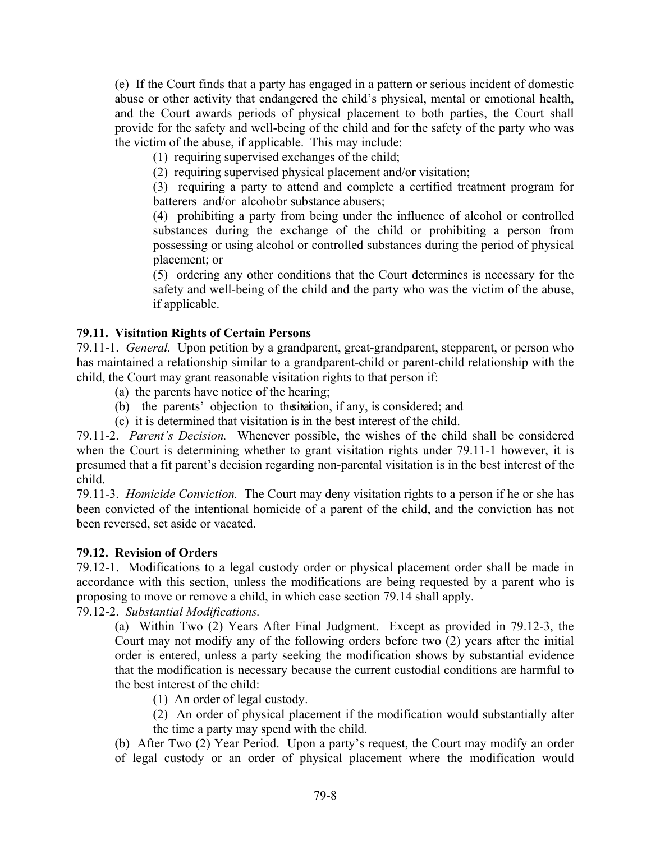(e) If the Court finds that a party has engaged in a pattern or serious incident of domestic abuse or other activity that endangered the child's physical, mental or emotional health, and the Court awards periods of physical placement to both parties, the Court shall provide for the safety and well-being of the child and for the safety of the party who was the victim of the abuse, if applicable. This may include:

(1) requiring supervised exchanges of the child;

(2) requiring supervised physical placement and/or visitation;

(3) requiring a party to attend and complete a certified treatment program for batterers and/or alcohobr substance abusers;

(4) prohibiting a party from being under the influence of alcohol or controlled substances during the exchange of the child or prohibiting a person from possessing or using alcohol or controlled substances during the period of physical placement; or

(5) ordering any other conditions that the Court determines is necessary for the safety and well-being of the child and the party who was the victim of the abuse, if applicable.

## **79.11. Visitation Rights of Certain Persons**

79.11-1. *General.* Upon petition by a grandparent, great-grandparent, stepparent, or person who has maintained a relationship similar to a grandparent-child or parent-child relationship with the child, the Court may grant reasonable visitation rights to that person if:

- (a) the parents have notice of the hearing;
- (b) the parents' objection to the iteration, if any, is considered; and
- (c) it is determined that visitation is in the best interest of the child.

79.11-2. *Parent's Decision.* Whenever possible, the wishes of the child shall be considered when the Court is determining whether to grant visitation rights under 79.11-1 however, it is presumed that a fit parent's decision regarding non-parental visitation is in the best interest of the child.

79.11-3. *Homicide Conviction.* The Court may deny visitation rights to a person if he or she has been convicted of the intentional homicide of a parent of the child, and the conviction has not been reversed, set aside or vacated.

## **79.12. Revision of Orders**

79.12-1. Modifications to a legal custody order or physical placement order shall be made in accordance with this section, unless the modifications are being requested by a parent who is proposing to move or remove a child, in which case section 79.14 shall apply.

79.12-2. *Substantial Modifications.*

(a) Within Two (2) Years After Final Judgment. Except as provided in 79.12-3, the Court may not modify any of the following orders before two (2) years after the initial order is entered, unless a party seeking the modification shows by substantial evidence that the modification is necessary because the current custodial conditions are harmful to the best interest of the child:

- (1) An order of legal custody.
- (2) An order of physical placement if the modification would substantially alter the time a party may spend with the child.

(b) After Two (2) Year Period.Upon a party's request, the Court may modify an order of legal custody or an order of physical placement where the modification would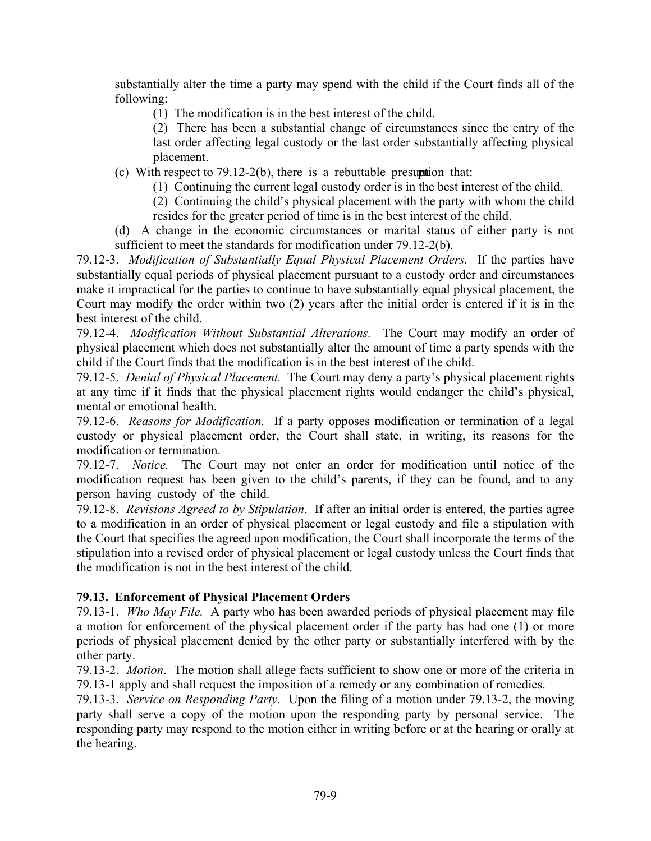substantially alter the time a party may spend with the child if the Court finds all of the following:

- (1) The modification is in the best interest of the child.
- (2) There has been a substantial change of circumstances since the entry of the last order affecting legal custody or the last order substantially affecting physical placement.
- (c) With respect to 79.12-2(b), there is a rebuttable presumption that:
	- (1) Continuing the current legal custody order is in the best interest of the child.
	- (2) Continuing the child's physical placement with the party with whom the child resides for the greater period of time is in the best interest of the child.
- (d) A change in the economic circumstances or marital status of either party is not sufficient to meet the standards for modification under 79.12-2(b).

79.12-3. *Modification of Substantially Equal Physical Placement Orders.* If the parties have substantially equal periods of physical placement pursuant to a custody order and circumstances make it impractical for the parties to continue to have substantially equal physical placement, the Court may modify the order within two (2) years after the initial order is entered if it is in the best interest of the child.

79.12-4. *Modification Without Substantial Alterations.* The Court may modify an order of physical placement which does not substantially alter the amount of time a party spends with the child if the Court finds that the modification is in the best interest of the child.

79.12-5. *Denial of Physical Placement.* The Court may deny a party's physical placement rights at any time if it finds that the physical placement rights would endanger the child's physical, mental or emotional health.

79.12-6. *Reasons for Modification.* If a party opposes modification or termination of a legal custody or physical placement order, the Court shall state, in writing, its reasons for the modification or termination.

79.12-7. *Notice.* The Court may not enter an order for modification until notice of the modification request has been given to the child's parents, if they can be found, and to any person having custody of the child.

79.12-8. *Revisions Agreed to by Stipulation*. If after an initial order is entered, the parties agree to a modification in an order of physical placement or legal custody and file a stipulation with the Court that specifies the agreed upon modification, the Court shall incorporate the terms of the stipulation into a revised order of physical placement or legal custody unless the Court finds that the modification is not in the best interest of the child.

# **79.13. Enforcement of Physical Placement Orders**

79.13-1. *Who May File.* A party who has been awarded periods of physical placement may file a motion for enforcement of the physical placement order if the party has had one (1) or more periods of physical placement denied by the other party or substantially interfered with by the other party.

79.13-2. *Motion*. The motion shall allege facts sufficient to show one or more of the criteria in 79.13-1 apply and shall request the imposition of a remedy or any combination of remedies.

79.13-3. *Service on Responding Party.* Upon the filing of a motion under 79.13-2, the moving party shall serve a copy of the motion upon the responding party by personal service. The responding party may respond to the motion either in writing before or at the hearing or orally at the hearing.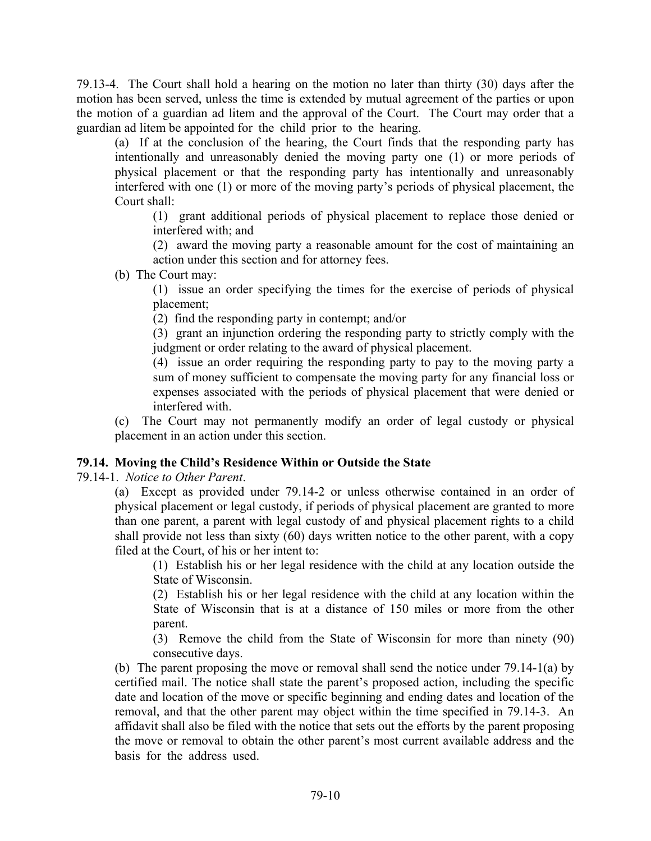79.13-4. The Court shall hold a hearing on the motion no later than thirty (30) days after the motion has been served, unless the time is extended by mutual agreement of the parties or upon the motion of a guardian ad litem and the approval of the Court. The Court may order that a guardian ad litem be appointed for the child prior to the hearing.

(a) If at the conclusion of the hearing, the Court finds that the responding party has intentionally and unreasonably denied the moving party one (1) or more periods of physical placement or that the responding party has intentionally and unreasonably interfered with one (1) or more of the moving party's periods of physical placement, the Court shall:

(1) grant additional periods of physical placement to replace those denied or interfered with; and

(2) award the moving party a reasonable amount for the cost of maintaining an action under this section and for attorney fees.

(b) The Court may:

(1) issue an order specifying the times for the exercise of periods of physical placement;

(2) find the responding party in contempt; and/or

(3) grant an injunction ordering the responding party to strictly comply with the judgment or order relating to the award of physical placement.

(4) issue an order requiring the responding party to pay to the moving party a sum of money sufficient to compensate the moving party for any financial loss or expenses associated with the periods of physical placement that were denied or interfered with.

(c) The Court may not permanently modify an order of legal custody or physical placement in an action under this section.

## **79.14. Moving the Child's Residence Within or Outside the State**

79.14-1.*Notice to Other Parent*.

(a) Except as provided under 79.14-2 or unless otherwise contained in an order of physical placement or legal custody, if periods of physical placement are granted to more than one parent, a parent with legal custody of and physical placement rights to a child shall provide not less than sixty (60) days written notice to the other parent, with a copy filed at the Court, of his or her intent to:

(1) Establish his or her legal residence with the child at any location outside the State of Wisconsin.

(2) Establish his or her legal residence with the child at any location within the State of Wisconsin that is at a distance of 150 miles or more from the other parent.

(3) Remove the child from the State of Wisconsin for more than ninety (90) consecutive days.

(b) The parent proposing the move or removal shall send the notice under 79.14-1(a) by certified mail. The notice shall state the parent's proposed action, including the specific date and location of the move or specific beginning and ending dates and location of the removal, and that the other parent may object within the time specified in 79.14-3. An affidavit shall also be filed with the notice that sets out the efforts by the parent proposing the move or removal to obtain the other parent's most current available address and the basis for the address used.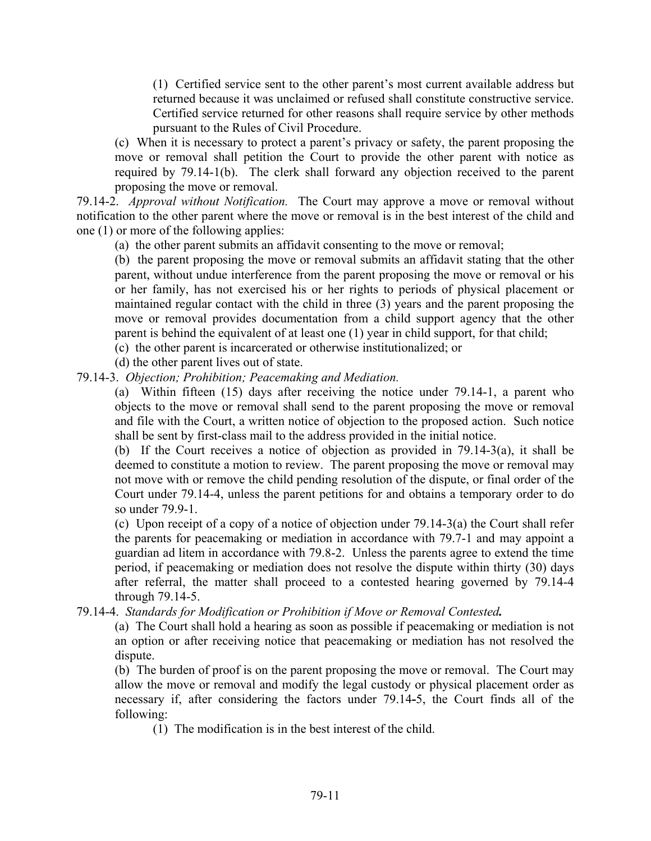(1) Certified service sent to the other parent's most current available address but returned because it was unclaimed or refused shall constitute constructive service. Certified service returned for other reasons shall require service by other methods pursuant to the Rules of Civil Procedure.

(c) When it is necessary to protect a parent's privacy or safety, the parent proposing the move or removal shall petition the Court to provide the other parent with notice as required by 79.14-1(b). The clerk shall forward any objection received to the parent proposing the move or removal.

79.14-2. *Approval without Notification.* The Court may approve a move or removal without notification to the other parent where the move or removal is in the best interest of the child and one (1) or more of the following applies:

(a) the other parent submits an affidavit consenting to the move or removal;

(b) the parent proposing the move or removal submits an affidavit stating that the other parent, without undue interference from the parent proposing the move or removal or his or her family, has not exercised his or her rights to periods of physical placement or maintained regular contact with the child in three (3) years and the parent proposing the move or removal provides documentation from a child support agency that the other parent is behind the equivalent of at least one (1) year in child support, for that child;

(c) the other parent is incarcerated or otherwise institutionalized; or

(d) the other parent lives out of state.

79.14-3.*Objection; Prohibition; Peacemaking and Mediation.* 

(a) Within fifteen (15) days after receiving the notice under 79.14-1, a parent who objects to the move or removal shall send to the parent proposing the move or removal and file with the Court, a written notice of objection to the proposed action. Such notice shall be sent by first-class mail to the address provided in the initial notice.

(b) If the Court receives a notice of objection as provided in 79.14-3(a), it shall be deemed to constitute a motion to review. The parent proposing the move or removal may not move with or remove the child pending resolution of the dispute, or final order of the Court under 79.14-4, unless the parent petitions for and obtains a temporary order to do so under 79.9-1.

(c) Upon receipt of a copy of a notice of objection under 79.14-3(a) the Court shall refer the parents for peacemaking or mediation in accordance with 79.7-1 and may appoint a guardian ad litem in accordance with 79.8-2. Unless the parents agree to extend the time period, if peacemaking or mediation does not resolve the dispute within thirty (30) days after referral, the matter shall proceed to a contested hearing governed by 79.14-4 through 79.14-5.

79.14-4. *Standards for Modification or Prohibition if Move or Removal Contested.* 

(a) The Court shall hold a hearing as soon as possible if peacemaking or mediation is not an option or after receiving notice that peacemaking or mediation has not resolved the dispute.

(b) The burden of proof is on the parent proposing the move or removal. The Court may allow the move or removal and modify the legal custody or physical placement order as necessary if, after considering the factors under 79.14**-**5, the Court finds all of the following:

(1) The modification is in the best interest of the child.